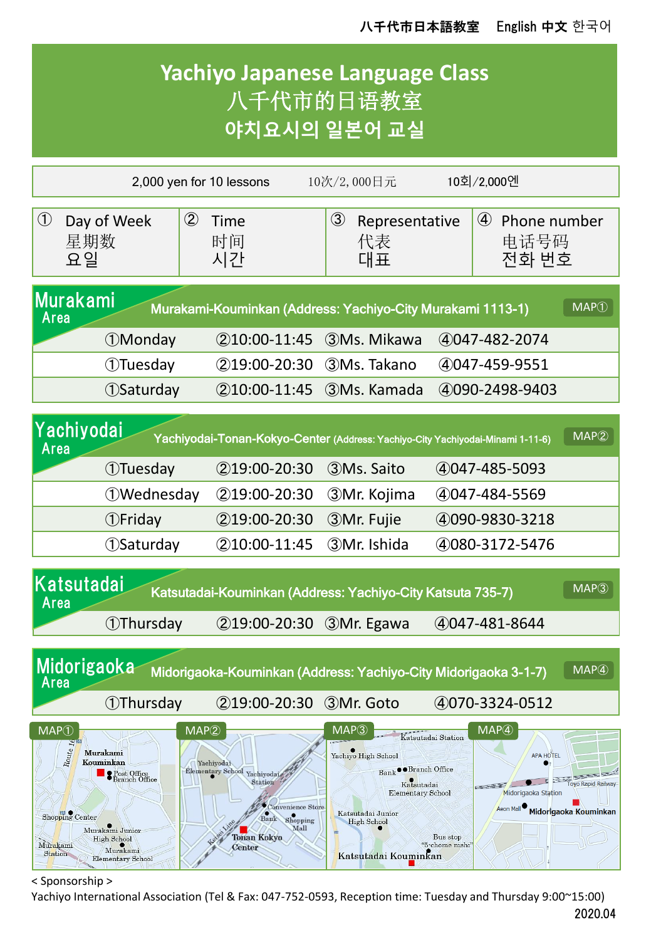

< Sponsorship >

Yachiyo International Association (Tel & Fax: 047-752-0593, Reception time: Tuesday and Thursday 9:00~15:00) 2020.04